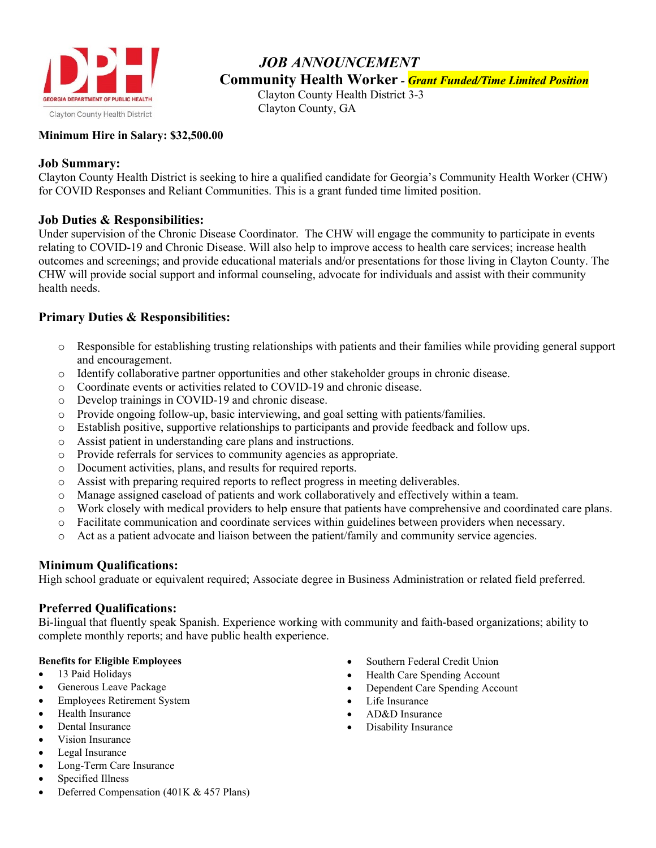

# *JOB ANNOUNCEMENT* **Community Health Worker** *- Grant Funded/Time Limited Position*

Clayton County Health District 3-3 Clayton County, GA

### **Minimum Hire in Salary: \$32,500.00**

### **Job Summary:**

Clayton County Health District is seeking to hire a qualified candidate for Georgia's Community Health Worker (CHW) for COVID Responses and Reliant Communities. This is a grant funded time limited position.

# **Job Duties & Responsibilities:**

Under supervision of the Chronic Disease Coordinator. The CHW will engage the community to participate in events relating to COVID-19 and Chronic Disease. Will also help to improve access to health care services; increase health outcomes and screenings; and provide educational materials and/or presentations for those living in Clayton County. The CHW will provide social support and informal counseling, advocate for individuals and assist with their community health needs.

# **Primary Duties & Responsibilities:**

- o Responsible for establishing trusting relationships with patients and their families while providing general support and encouragement.
- o Identify collaborative partner opportunities and other stakeholder groups in chronic disease.
- o Coordinate events or activities related to COVID-19 and chronic disease.
- o Develop trainings in COVID-19 and chronic disease.
- o Provide ongoing follow-up, basic interviewing, and goal setting with patients/families.
- o Establish positive, supportive relationships to participants and provide feedback and follow ups.
- o Assist patient in understanding care plans and instructions.
- o Provide referrals for services to community agencies as appropriate.
- o Document activities, plans, and results for required reports.
- o Assist with preparing required reports to reflect progress in meeting deliverables.
- o Manage assigned caseload of patients and work collaboratively and effectively within a team.
- o Work closely with medical providers to help ensure that patients have comprehensive and coordinated care plans.
- o Facilitate communication and coordinate services within guidelines between providers when necessary.
- o Act as a patient advocate and liaison between the patient/family and community service agencies.

### **Minimum Qualifications:**

High school graduate or equivalent required; Associate degree in Business Administration or related field preferred.

# **Preferred Qualifications:**

Bi-lingual that fluently speak Spanish. Experience working with community and faith-based organizations; ability to complete monthly reports; and have public health experience.

### **Benefits for Eligible Employees**

- 13 Paid Holidays
- Generous Leave Package
- Employees Retirement System
- Health Insurance
- Dental Insurance
- Vision Insurance
- Legal Insurance
- Long-Term Care Insurance
- Specified Illness
- Deferred Compensation (401K & 457 Plans)
- Southern Federal Credit Union
- Health Care Spending Account
- Dependent Care Spending Account
- Life Insurance
- AD&D Insurance
- Disability Insurance